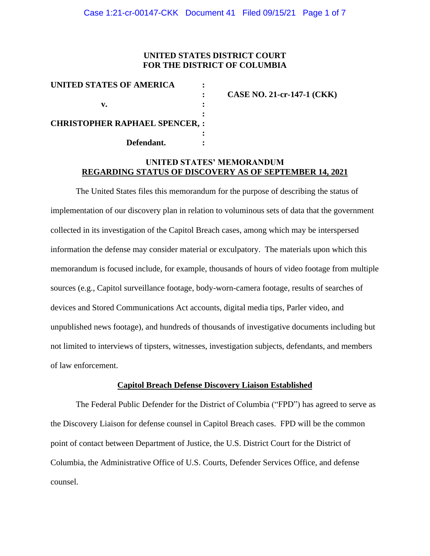# **UNITED STATES DISTRICT COURT FOR THE DISTRICT OF COLUMBIA**

| UNITED STATES OF AMERICA             |                                   |
|--------------------------------------|-----------------------------------|
|                                      | <b>CASE NO. 21-cr-147-1 (CKK)</b> |
|                                      |                                   |
|                                      |                                   |
| <b>CHRISTOPHER RAPHAEL SPENCER,:</b> |                                   |
|                                      |                                   |
| Defendant.                           |                                   |

# **UNITED STATES' MEMORANDUM REGARDING STATUS OF DISCOVERY AS OF SEPTEMBER 14, 2021**

The United States files this memorandum for the purpose of describing the status of implementation of our discovery plan in relation to voluminous sets of data that the government collected in its investigation of the Capitol Breach cases, among which may be interspersed information the defense may consider material or exculpatory. The materials upon which this memorandum is focused include, for example, thousands of hours of video footage from multiple sources (e.g., Capitol surveillance footage, body-worn-camera footage, results of searches of devices and Stored Communications Act accounts, digital media tips, Parler video, and unpublished news footage), and hundreds of thousands of investigative documents including but not limited to interviews of tipsters, witnesses, investigation subjects, defendants, and members of law enforcement.

#### **Capitol Breach Defense Discovery Liaison Established**

The Federal Public Defender for the District of Columbia ("FPD") has agreed to serve as the Discovery Liaison for defense counsel in Capitol Breach cases. FPD will be the common point of contact between Department of Justice, the U.S. District Court for the District of Columbia, the Administrative Office of U.S. Courts, Defender Services Office, and defense counsel.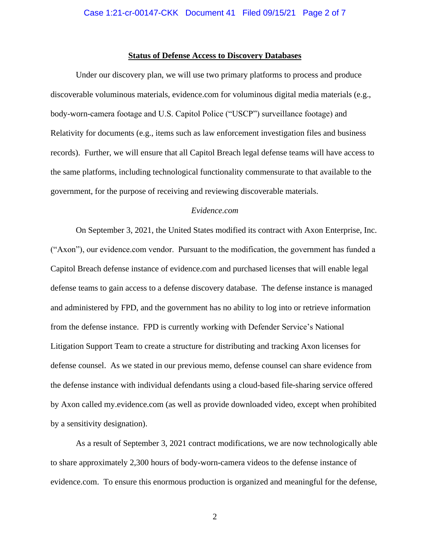# **Status of Defense Access to Discovery Databases**

Under our discovery plan, we will use two primary platforms to process and produce discoverable voluminous materials, evidence.com for voluminous digital media materials (e.g., body-worn-camera footage and U.S. Capitol Police ("USCP") surveillance footage) and Relativity for documents (e.g., items such as law enforcement investigation files and business records). Further, we will ensure that all Capitol Breach legal defense teams will have access to the same platforms, including technological functionality commensurate to that available to the government, for the purpose of receiving and reviewing discoverable materials.

## *Evidence.com*

On September 3, 2021, the United States modified its contract with Axon Enterprise, Inc. ("Axon"), our evidence.com vendor. Pursuant to the modification, the government has funded a Capitol Breach defense instance of evidence.com and purchased licenses that will enable legal defense teams to gain access to a defense discovery database. The defense instance is managed and administered by FPD, and the government has no ability to log into or retrieve information from the defense instance. FPD is currently working with Defender Service's National Litigation Support Team to create a structure for distributing and tracking Axon licenses for defense counsel. As we stated in our previous memo, defense counsel can share evidence from the defense instance with individual defendants using a cloud-based file-sharing service offered by Axon called my.evidence.com (as well as provide downloaded video, except when prohibited by a sensitivity designation).

As a result of September 3, 2021 contract modifications, we are now technologically able to share approximately 2,300 hours of body-worn-camera videos to the defense instance of evidence.com. To ensure this enormous production is organized and meaningful for the defense,

2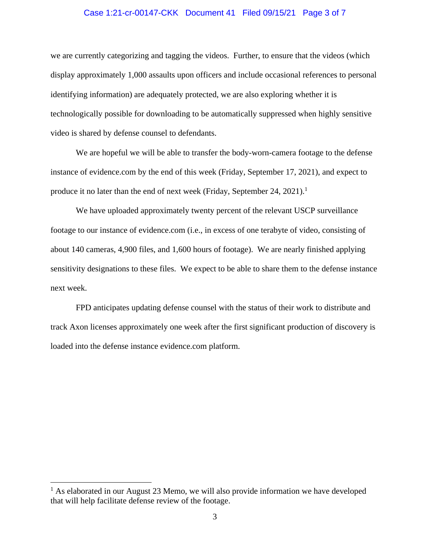## Case 1:21-cr-00147-CKK Document 41 Filed 09/15/21 Page 3 of 7

we are currently categorizing and tagging the videos. Further, to ensure that the videos (which display approximately 1,000 assaults upon officers and include occasional references to personal identifying information) are adequately protected, we are also exploring whether it is technologically possible for downloading to be automatically suppressed when highly sensitive video is shared by defense counsel to defendants.

We are hopeful we will be able to transfer the body-worn-camera footage to the defense instance of evidence.com by the end of this week (Friday, September 17, 2021), and expect to produce it no later than the end of next week (Friday, September 24, 2021).<sup>1</sup>

We have uploaded approximately twenty percent of the relevant USCP surveillance footage to our instance of evidence.com (i.e., in excess of one terabyte of video, consisting of about 140 cameras, 4,900 files, and 1,600 hours of footage). We are nearly finished applying sensitivity designations to these files. We expect to be able to share them to the defense instance next week.

FPD anticipates updating defense counsel with the status of their work to distribute and track Axon licenses approximately one week after the first significant production of discovery is loaded into the defense instance evidence.com platform.

 $<sup>1</sup>$  As elaborated in our August 23 Memo, we will also provide information we have developed</sup> that will help facilitate defense review of the footage.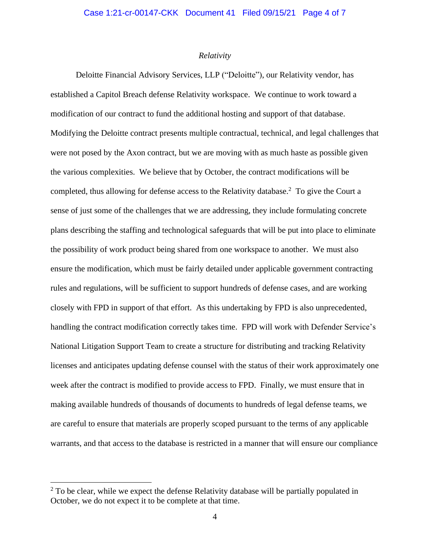# *Relativity*

Deloitte Financial Advisory Services, LLP ("Deloitte"), our Relativity vendor, has established a Capitol Breach defense Relativity workspace. We continue to work toward a modification of our contract to fund the additional hosting and support of that database. Modifying the Deloitte contract presents multiple contractual, technical, and legal challenges that were not posed by the Axon contract, but we are moving with as much haste as possible given the various complexities. We believe that by October, the contract modifications will be completed, thus allowing for defense access to the Relativity database.<sup>2</sup> To give the Court a sense of just some of the challenges that we are addressing, they include formulating concrete plans describing the staffing and technological safeguards that will be put into place to eliminate the possibility of work product being shared from one workspace to another. We must also ensure the modification, which must be fairly detailed under applicable government contracting rules and regulations, will be sufficient to support hundreds of defense cases, and are working closely with FPD in support of that effort. As this undertaking by FPD is also unprecedented, handling the contract modification correctly takes time. FPD will work with Defender Service's National Litigation Support Team to create a structure for distributing and tracking Relativity licenses and anticipates updating defense counsel with the status of their work approximately one week after the contract is modified to provide access to FPD. Finally, we must ensure that in making available hundreds of thousands of documents to hundreds of legal defense teams, we are careful to ensure that materials are properly scoped pursuant to the terms of any applicable warrants, and that access to the database is restricted in a manner that will ensure our compliance

 $2$  To be clear, while we expect the defense Relativity database will be partially populated in October, we do not expect it to be complete at that time.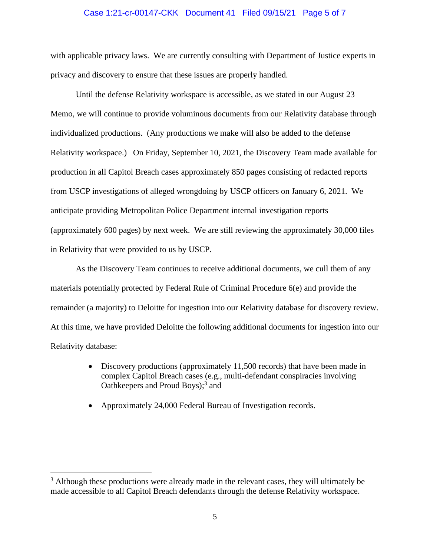## Case 1:21-cr-00147-CKK Document 41 Filed 09/15/21 Page 5 of 7

with applicable privacy laws. We are currently consulting with Department of Justice experts in privacy and discovery to ensure that these issues are properly handled.

Until the defense Relativity workspace is accessible, as we stated in our August 23 Memo, we will continue to provide voluminous documents from our Relativity database through individualized productions. (Any productions we make will also be added to the defense Relativity workspace.) On Friday, September 10, 2021, the Discovery Team made available for production in all Capitol Breach cases approximately 850 pages consisting of redacted reports from USCP investigations of alleged wrongdoing by USCP officers on January 6, 2021. We anticipate providing Metropolitan Police Department internal investigation reports (approximately 600 pages) by next week. We are still reviewing the approximately 30,000 files in Relativity that were provided to us by USCP.

As the Discovery Team continues to receive additional documents, we cull them of any materials potentially protected by Federal Rule of Criminal Procedure 6(e) and provide the remainder (a majority) to Deloitte for ingestion into our Relativity database for discovery review. At this time, we have provided Deloitte the following additional documents for ingestion into our Relativity database:

- Discovery productions (approximately 11,500 records) that have been made in complex Capitol Breach cases (e.g., multi-defendant conspiracies involving Oathkeepers and Proud Boys);<sup>3</sup> and
- Approximately 24,000 Federal Bureau of Investigation records.

 $3$  Although these productions were already made in the relevant cases, they will ultimately be made accessible to all Capitol Breach defendants through the defense Relativity workspace.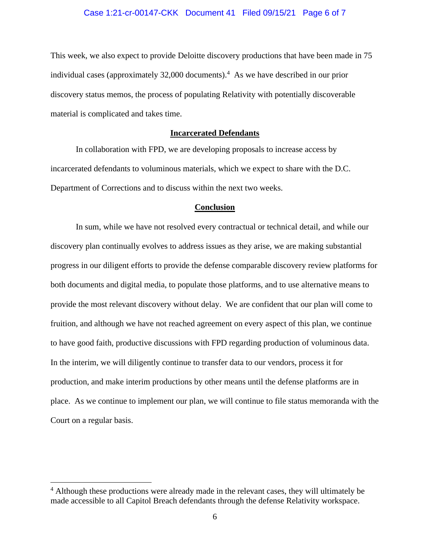## Case 1:21-cr-00147-CKK Document 41 Filed 09/15/21 Page 6 of 7

This week, we also expect to provide Deloitte discovery productions that have been made in 75 individual cases (approximately 32,000 documents). 4 As we have described in our prior discovery status memos, the process of populating Relativity with potentially discoverable material is complicated and takes time.

# **Incarcerated Defendants**

In collaboration with FPD, we are developing proposals to increase access by incarcerated defendants to voluminous materials, which we expect to share with the D.C. Department of Corrections and to discuss within the next two weeks.

#### **Conclusion**

In sum, while we have not resolved every contractual or technical detail, and while our discovery plan continually evolves to address issues as they arise, we are making substantial progress in our diligent efforts to provide the defense comparable discovery review platforms for both documents and digital media, to populate those platforms, and to use alternative means to provide the most relevant discovery without delay. We are confident that our plan will come to fruition, and although we have not reached agreement on every aspect of this plan, we continue to have good faith, productive discussions with FPD regarding production of voluminous data. In the interim, we will diligently continue to transfer data to our vendors, process it for production, and make interim productions by other means until the defense platforms are in place. As we continue to implement our plan, we will continue to file status memoranda with the Court on a regular basis.

<sup>&</sup>lt;sup>4</sup> Although these productions were already made in the relevant cases, they will ultimately be made accessible to all Capitol Breach defendants through the defense Relativity workspace.